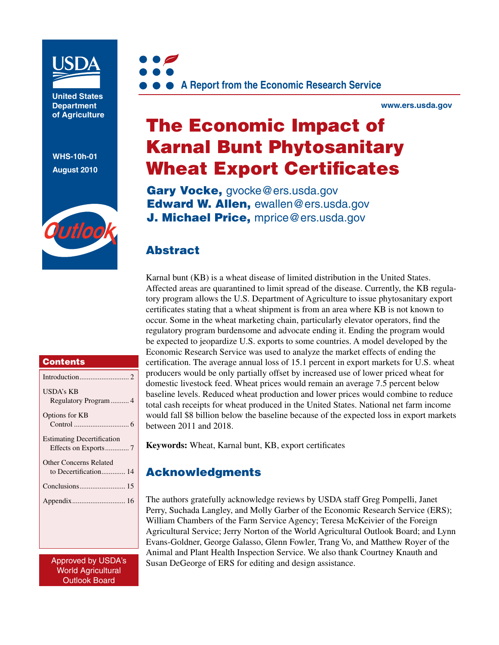

**United States Department of Agriculture** 

**WHS-10h-01 August 2010**





**www.ers.usda.gov** 

# The Economic Impact of Karnal Bunt Phytosanitary Wheat Export Certificates

Gary Vocke, gvocke@ers.usda.gov Edward W. Allen, ewallen@ers.usda.gov **J. Michael Price, mprice@ers.usda.gov** 

## Abstract

Karnal bunt (KB) is a wheat disease of limited distribution in the United States. Affected areas are quarantined to limit spread of the disease. Currently, the KB regulatory program allows the U.S. Department of Agriculture to issue phytosanitary export certificates stating that a wheat shipment is from an area where KB is not known to occur. Some in the wheat marketing chain, particularly elevator operators, find the regulatory program burdensome and advocate ending it. Ending the program would be expected to jeopardize U.S. exports to some countries. A model developed by the Economic Research Service was used to analyze the market effects of ending the certification. The average annual loss of 15.1 percent in export markets for U.S. wheat producers would be only partially offset by increased use of lower priced wheat for domestic livestock feed. Wheat prices would remain an average 7.5 percent below baseline levels. Reduced wheat production and lower prices would combine to reduce total cash receipts for wheat produced in the United States. National net farm income would fall \$8 billion below the baseline because of the expected loss in export markets between 2011 and 2018.

**Keywords:** Wheat, Karnal bunt, KB, export certificates

# Acknowledgments

The authors gratefully acknowledge reviews by USDA staff Greg Pompelli, Janet Perry, Suchada Langley, and Molly Garber of the Economic Research Service (ERS); William Chambers of the Farm Service Agency; Teresa McKeivier of the Foreign Agricultural Service; Jerry Norton of the World Agricultural Outlook Board; and Lynn Evans-Goldner, George Galasso, Glenn Fowler, Trang Vo, and Matthew Royer of the Animal and Plant Health Inspection Service. We also thank Courtney Knauth and Susan DeGeorge of ERS for editing and design assistance.

#### **Contents**

| USDA's KB                         |
|-----------------------------------|
|                                   |
| Options for KB                    |
|                                   |
| <b>Estimating Decertification</b> |
|                                   |
| <b>Other Concerns Related</b>     |
| to Decertification 14             |
|                                   |
|                                   |
|                                   |
|                                   |
|                                   |
|                                   |
| AnnenindhuHCDA                    |

Approved by USDA's World Agricultural Outlook Board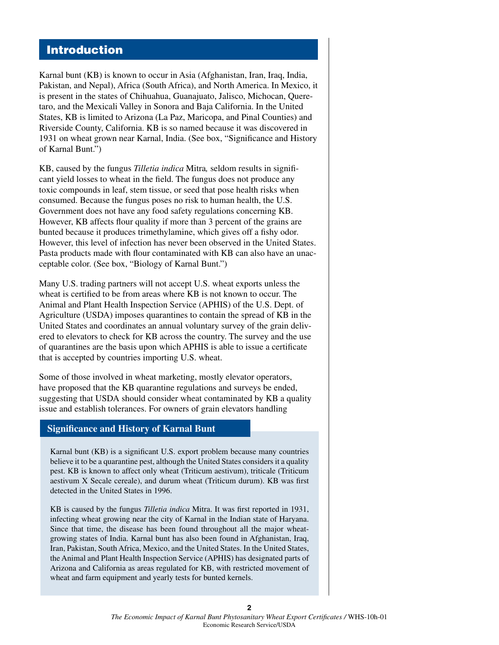### Introduction

Karnal bunt (KB) is known to occur in Asia (Afghanistan, Iran, Iraq, India, Pakistan, and Nepal), Africa (South Africa), and North America. In Mexico, it is present in the states of Chihuahua, Guanajuato, Jalisco, Michocan, Queretaro, and the Mexicali Valley in Sonora and Baja California. In the United States, KB is limited to Arizona (La Paz, Maricopa, and Pinal Counties) and Riverside County, California. KB is so named because it was discovered in 1931 on wheat grown near Karnal, India. (See box, "Significance and History of Karnal Bunt.")

KB, caused by the fungus *Tilletia indica* Mitra*,* seldom results in significant yield losses to wheat in the field. The fungus does not produce any toxic compounds in leaf, stem tissue, or seed that pose health risks when consumed. Because the fungus poses no risk to human health, the U.S. Government does not have any food safety regulations concerning KB. However, KB affects flour quality if more than 3 percent of the grains are bunted because it produces trimethylamine, which gives off a fishy odor. However, this level of infection has never been observed in the United States. Pasta products made with flour contaminated with KB can also have an unacceptable color. (See box, "Biology of Karnal Bunt.")

Many U.S. trading partners will not accept U.S. wheat exports unless the wheat is certified to be from areas where KB is not known to occur. The Animal and Plant Health Inspection Service (APHIS) of the U.S. Dept. of Agriculture (USDA) imposes quarantines to contain the spread of KB in the United States and coordinates an annual voluntary survey of the grain delivered to elevators to check for KB across the country. The survey and the use of quarantines are the basis upon which APHIS is able to issue a certificate that is accepted by countries importing U.S. wheat.

Some of those involved in wheat marketing, mostly elevator operators, have proposed that the KB quarantine regulations and surveys be ended, suggesting that USDA should consider wheat contaminated by KB a quality issue and establish tolerances. For owners of grain elevators handling

#### **Significance and History of Karnal Bunt**

Karnal bunt (KB) is a significant U.S. export problem because many countries believe it to be a quarantine pest, although the United States considers it a quality pest. KB is known to affect only wheat (Triticum aestivum), triticale (Triticum aestivum X Secale cereale), and durum wheat (Triticum durum). KB was first detected in the United States in 1996.

KB is caused by the fungus *Tilletia indica* Mitra. It was first reported in 1931, infecting wheat growing near the city of Karnal in the Indian state of Haryana. Since that time, the disease has been found throughout all the major wheatgrowing states of India. Karnal bunt has also been found in Afghanistan, Iraq, Iran, Pakistan, South Africa, Mexico, and the United States. In the United States, the Animal and Plant Health Inspection Service (APHIS) has designated parts of Arizona and California as areas regulated for KB, with restricted movement of wheat and farm equipment and yearly tests for bunted kernels.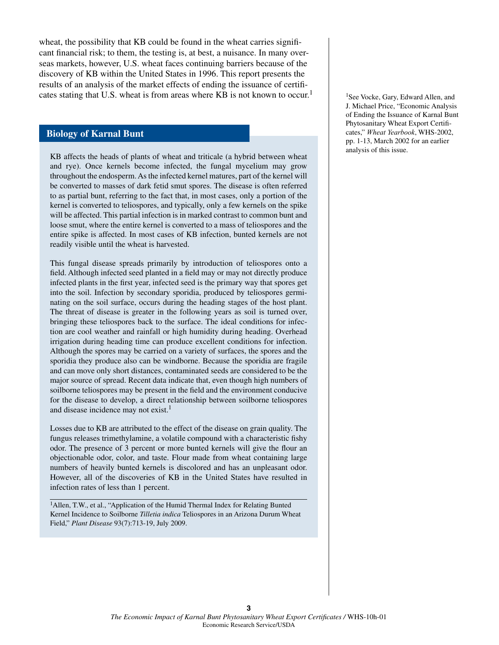wheat, the possibility that KB could be found in the wheat carries significant financial risk; to them, the testing is, at best, a nuisance. In many overseas markets, however, U.S. wheat faces continuing barriers because of the discovery of KB within the United States in 1996. This report presents the results of an analysis of the market effects of ending the issuance of certificates stating that U.S. wheat is from areas where KB is not known to occur.<sup>1</sup>

#### **Biology of Karnal Bunt**

KB affects the heads of plants of wheat and triticale (a hybrid between wheat and rye). Once kernels become infected, the fungal mycelium may grow throughout the endosperm. As the infected kernel matures, part of the kernel will be converted to masses of dark fetid smut spores. The disease is often referred to as partial bunt, referring to the fact that, in most cases, only a portion of the kernel is converted to teliospores, and typically, only a few kernels on the spike will be affected. This partial infection is in marked contrast to common bunt and loose smut, where the entire kernel is converted to a mass of teliospores and the entire spike is affected. In most cases of KB infection, bunted kernels are not readily visible until the wheat is harvested.

This fungal disease spreads primarily by introduction of teliospores onto a field. Although infected seed planted in a field may or may not directly produce infected plants in the first year, infected seed is the primary way that spores get into the soil. Infection by secondary sporidia, produced by teliospores germinating on the soil surface, occurs during the heading stages of the host plant. The threat of disease is greater in the following years as soil is turned over, bringing these teliospores back to the surface. The ideal conditions for infection are cool weather and rainfall or high humidity during heading. Overhead irrigation during heading time can produce excellent conditions for infection. Although the spores may be carried on a variety of surfaces, the spores and the sporidia they produce also can be windborne. Because the sporidia are fragile and can move only short distances, contaminated seeds are considered to be the major source of spread. Recent data indicate that, even though high numbers of soilborne teliospores may be present in the field and the environment conducive for the disease to develop, a direct relationship between soilborne teliospores and disease incidence may not exist.<sup>1</sup>

Losses due to KB are attributed to the effect of the disease on grain quality. The fungus releases trimethylamine, a volatile compound with a characteristic fishy odor. The presence of 3 percent or more bunted kernels will give the flour an objectionable odor, color, and taste. Flour made from wheat containing large numbers of heavily bunted kernels is discolored and has an unpleasant odor. However, all of the discoveries of KB in the United States have resulted in infection rates of less than 1 percent.

<sup>1</sup>Allen, T.W., et al., "Application of the Humid Thermal Index for Relating Bunted Kernel Incidence to Soilborne *Tilletia indica* Teliospores in an Arizona Durum Wheat Field," *Plant Disease* 93(7):713-19, July 2009.

<sup>1</sup>See Vocke, Gary, Edward Allen, and J. Michael Price, "Economic Analysis of Ending the Issuance of Karnal Bunt Phytosanitary Wheat Export Certificates," *Wheat Yearbook*, WHS-2002, pp. 1-13, March 2002 for an earlier analysis of this issue.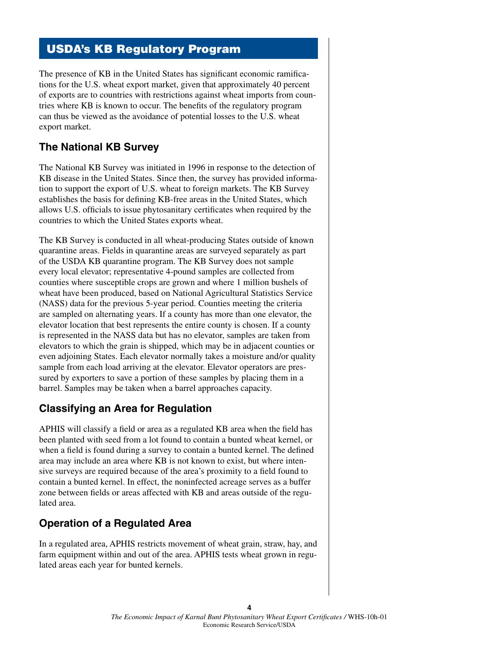# USDA's KB Regulatory Program

The presence of KB in the United States has significant economic ramifications for the U.S. wheat export market, given that approximately 40 percent of exports are to countries with restrictions against wheat imports from countries where KB is known to occur. The benefits of the regulatory program can thus be viewed as the avoidance of potential losses to the U.S. wheat export market.

### **The National KB Survey**

The National KB Survey was initiated in 1996 in response to the detection of KB disease in the United States. Since then, the survey has provided information to support the export of U.S. wheat to foreign markets. The KB Survey establishes the basis for defining KB-free areas in the United States, which allows U.S. officials to issue phytosanitary certificates when required by the countries to which the United States exports wheat.

The KB Survey is conducted in all wheat-producing States outside of known quarantine areas. Fields in quarantine areas are surveyed separately as part of the USDA KB quarantine program. The KB Survey does not sample every local elevator; representative 4-pound samples are collected from counties where susceptible crops are grown and where 1 million bushels of wheat have been produced, based on National Agricultural Statistics Service (NASS) data for the previous 5-year period. Counties meeting the criteria are sampled on alternating years. If a county has more than one elevator, the elevator location that best represents the entire county is chosen. If a county is represented in the NASS data but has no elevator, samples are taken from elevators to which the grain is shipped, which may be in adjacent counties or even adjoining States. Each elevator normally takes a moisture and/or quality sample from each load arriving at the elevator. Elevator operators are pressured by exporters to save a portion of these samples by placing them in a barrel. Samples may be taken when a barrel approaches capacity.

### **Classifying an Area for Regulation**

APHIS will classify a field or area as a regulated KB area when the field has been planted with seed from a lot found to contain a bunted wheat kernel, or when a field is found during a survey to contain a bunted kernel. The defined area may include an area where KB is not known to exist, but where intensive surveys are required because of the area's proximity to a field found to contain a bunted kernel. In effect, the noninfected acreage serves as a buffer zone between fields or areas affected with KB and areas outside of the regulated area.

# **Operation of a Regulated Area**

In a regulated area, APHIS restricts movement of wheat grain, straw, hay, and farm equipment within and out of the area. APHIS tests wheat grown in regulated areas each year for bunted kernels.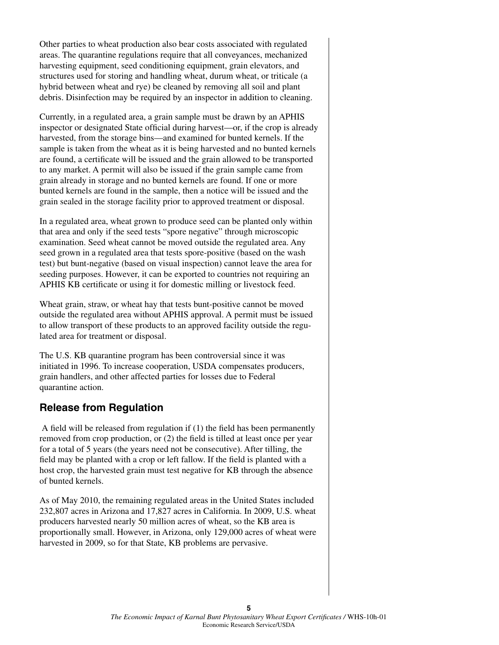Other parties to wheat production also bear costs associated with regulated areas. The quarantine regulations require that all conveyances, mechanized harvesting equipment, seed conditioning equipment, grain elevators, and structures used for storing and handling wheat, durum wheat, or triticale (a hybrid between wheat and rye) be cleaned by removing all soil and plant debris. Disinfection may be required by an inspector in addition to cleaning.

Currently, in a regulated area, a grain sample must be drawn by an APHIS inspector or designated State official during harvest—or, if the crop is already harvested, from the storage bins—and examined for bunted kernels. If the sample is taken from the wheat as it is being harvested and no bunted kernels are found, a certificate will be issued and the grain allowed to be transported to any market. A permit will also be issued if the grain sample came from grain already in storage and no bunted kernels are found. If one or more bunted kernels are found in the sample, then a notice will be issued and the grain sealed in the storage facility prior to approved treatment or disposal.

In a regulated area, wheat grown to produce seed can be planted only within that area and only if the seed tests "spore negative" through microscopic examination. Seed wheat cannot be moved outside the regulated area. Any seed grown in a regulated area that tests spore-positive (based on the wash test) but bunt-negative (based on visual inspection) cannot leave the area for seeding purposes. However, it can be exported to countries not requiring an APHIS KB certificate or using it for domestic milling or livestock feed.

Wheat grain, straw, or wheat hay that tests bunt-positive cannot be moved outside the regulated area without APHIS approval. A permit must be issued to allow transport of these products to an approved facility outside the regulated area for treatment or disposal.

The U.S. KB quarantine program has been controversial since it was initiated in 1996. To increase cooperation, USDA compensates producers, grain handlers, and other affected parties for losses due to Federal quarantine action.

### **Release from Regulation**

A field will be released from regulation if (1) the field has been permanently removed from crop production, or (2) the field is tilled at least once per year for a total of 5 years (the years need not be consecutive). After tilling, the field may be planted with a crop or left fallow. If the field is planted with a host crop, the harvested grain must test negative for KB through the absence of bunted kernels.

As of May 2010, the remaining regulated areas in the United States included 232,807 acres in Arizona and 17,827 acres in California. In 2009, U.S. wheat producers harvested nearly 50 million acres of wheat, so the KB area is proportionally small. However, in Arizona, only 129,000 acres of wheat were harvested in 2009, so for that State, KB problems are pervasive.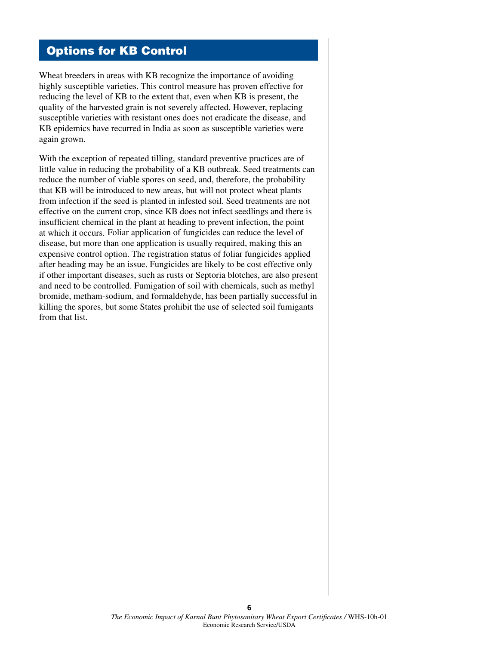### Options for KB Control

Wheat breeders in areas with KB recognize the importance of avoiding highly susceptible varieties. This control measure has proven effective for reducing the level of KB to the extent that, even when KB is present, the quality of the harvested grain is not severely affected. However, replacing susceptible varieties with resistant ones does not eradicate the disease, and KB epidemics have recurred in India as soon as susceptible varieties were again grown.

With the exception of repeated tilling, standard preventive practices are of little value in reducing the probability of a KB outbreak. Seed treatments can reduce the number of viable spores on seed, and, therefore, the probability that KB will be introduced to new areas, but will not protect wheat plants from infection if the seed is planted in infested soil. Seed treatments are not effective on the current crop, since KB does not infect seedlings and there is insufficient chemical in the plant at heading to prevent infection, the point at which it occurs. Foliar application of fungicides can reduce the level of disease, but more than one application is usually required, making this an expensive control option. The registration status of foliar fungicides applied after heading may be an issue. Fungicides are likely to be cost effective only if other important diseases, such as rusts or Septoria blotches, are also present and need to be controlled. Fumigation of soil with chemicals, such as methyl bromide, metham-sodium, and formaldehyde, has been partially successful in killing the spores, but some States prohibit the use of selected soil fumigants from that list.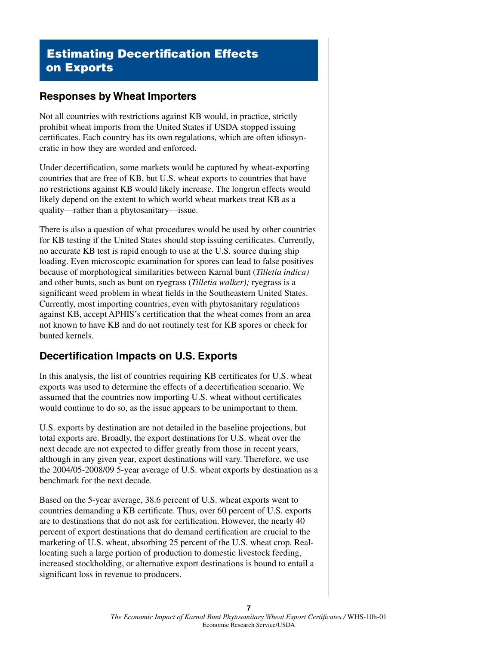# Estimating Decertification Effects on Exports

### **Responses by Wheat Importers**

Not all countries with restrictions against KB would, in practice, strictly prohibit wheat imports from the United States if USDA stopped issuing certificates. Each country has its own regulations, which are often idiosyncratic in how they are worded and enforced.

Under decertification, some markets would be captured by wheat-exporting countries that are free of KB, but U.S. wheat exports to countries that have no restrictions against KB would likely increase. The longrun effects would likely depend on the extent to which world wheat markets treat KB as a quality—rather than a phytosanitary—issue.

There is also a question of what procedures would be used by other countries for KB testing if the United States should stop issuing certificates. Currently, no accurate KB test is rapid enough to use at the U.S. source during ship loading. Even microscopic examination for spores can lead to false positives because of morphological similarities between Karnal bunt (*Tilletia indica)* and other bunts, such as bunt on ryegrass (*Tilletia walker);* ryegrass is a significant weed problem in wheat fields in the Southeastern United States. Currently, most importing countries, even with phytosanitary regulations against KB, accept APHIS's certification that the wheat comes from an area not known to have KB and do not routinely test for KB spores or check for bunted kernels.

### **Decertification Impacts on U.S. Exports**

In this analysis, the list of countries requiring KB certificates for U.S. wheat exports was used to determine the effects of a decertification scenario. We assumed that the countries now importing U.S. wheat without certificates would continue to do so, as the issue appears to be unimportant to them.

U.S. exports by destination are not detailed in the baseline projections, but total exports are. Broadly, the export destinations for U.S. wheat over the next decade are not expected to differ greatly from those in recent years, although in any given year, export destinations will vary. Therefore, we use the 2004/05-2008/09 5-year average of U.S. wheat exports by destination as a benchmark for the next decade.

Based on the 5-year average, 38.6 percent of U.S. wheat exports went to countries demanding a KB certificate. Thus, over 60 percent of U.S. exports are to destinations that do not ask for certification. However, the nearly 40 percent of export destinations that do demand certification are crucial to the marketing of U.S. wheat, absorbing 25 percent of the U.S. wheat crop. Reallocating such a large portion of production to domestic livestock feeding, increased stockholding, or alternative export destinations is bound to entail a significant loss in revenue to producers.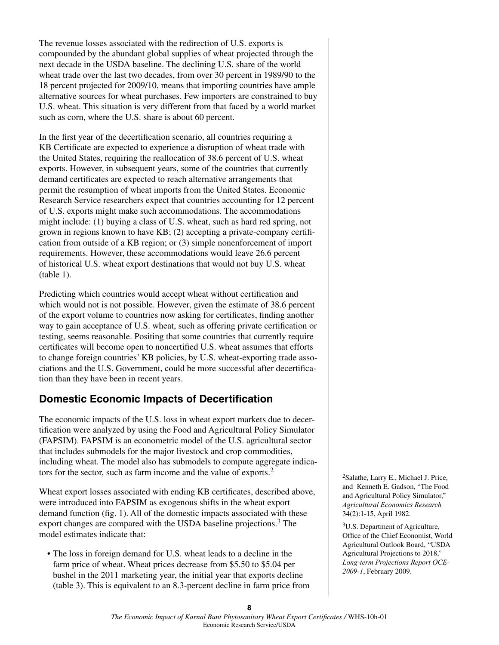The revenue losses associated with the redirection of U.S. exports is compounded by the abundant global supplies of wheat projected through the next decade in the USDA baseline. The declining U.S. share of the world wheat trade over the last two decades, from over 30 percent in 1989/90 to the 18 percent projected for 2009/10, means that importing countries have ample alternative sources for wheat purchases. Few importers are constrained to buy U.S. wheat. This situation is very different from that faced by a world market such as corn, where the U.S. share is about 60 percent.

In the first year of the decertification scenario, all countries requiring a KB Certificate are expected to experience a disruption of wheat trade with the United States, requiring the reallocation of 38.6 percent of U.S. wheat exports. However, in subsequent years, some of the countries that currently demand certificates are expected to reach alternative arrangements that permit the resumption of wheat imports from the United States. Economic Research Service researchers expect that countries accounting for 12 percent of U.S. exports might make such accommodations. The accommodations might include: (1) buying a class of U.S. wheat, such as hard red spring, not grown in regions known to have KB; (2) accepting a private-company certification from outside of a KB region; or (3) simple nonenforcement of import requirements. However, these accommodations would leave 26.6 percent of historical U.S. wheat export destinations that would not buy U.S. wheat (table 1).

Predicting which countries would accept wheat without certification and which would not is not possible. However, given the estimate of 38.6 percent of the export volume to countries now asking for certificates, finding another way to gain acceptance of U.S. wheat, such as offering private certification or testing, seems reasonable. Positing that some countries that currently require certificates will become open to noncertified U.S. wheat assumes that efforts to change foreign countries' KB policies, by U.S. wheat-exporting trade associations and the U.S. Government, could be more successful after decertification than they have been in recent years.

### **Domestic Economic Impacts of Decertification**

The economic impacts of the U.S. loss in wheat export markets due to decertification were analyzed by using the Food and Agricultural Policy Simulator (FAPSIM). FAPSIM is an econometric model of the U.S. agricultural sector that includes submodels for the major livestock and crop commodities, including wheat. The model also has submodels to compute aggregate indicators for the sector, such as farm income and the value of exports.2

Wheat export losses associated with ending KB certificates, described above, were introduced into FAPSIM as exogenous shifts in the wheat export demand function (fig. 1). All of the domestic impacts associated with these export changes are compared with the USDA baseline projections.<sup>3</sup> The model estimates indicate that:

• The loss in foreign demand for U.S. wheat leads to a decline in the farm price of wheat. Wheat prices decrease from \$5.50 to \$5.04 per bushel in the 2011 marketing year, the initial year that exports decline (table 3). This is equivalent to an 8.3-percent decline in farm price from 2Salathe, Larry E., Michael J. Price, and Kenneth E. Gadson, "The Food and Agricultural Policy Simulator," *Agricultural Economics Research* 34(2):1-15, April 1982.

3U.S. Department of Agriculture, Office of the Chief Economist, World Agricultural Outlook Board, "USDA Agricultural Projections to 2018," *Long-term Projections Report OCE-2009-1*, February 2009.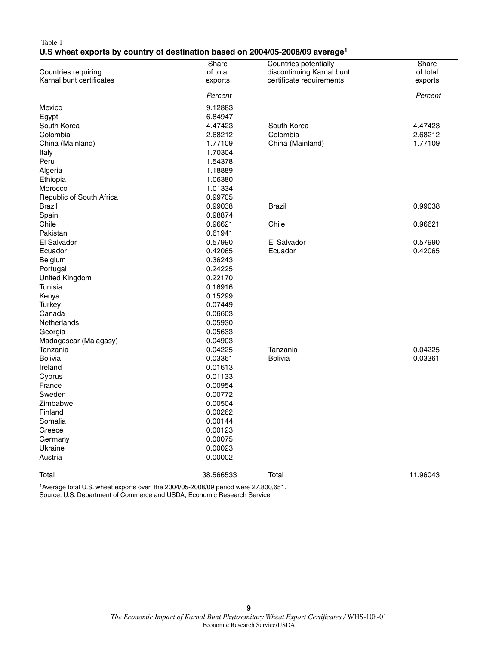#### Table 1 **U.S wheat exports by country of destination based on 2004/05-2008/09 average1**

|                          |                    | Countries potentially     |                   |
|--------------------------|--------------------|---------------------------|-------------------|
| Countries requiring      | Share<br>of total  | discontinuing Karnal bunt | Share<br>of total |
| Karnal bunt certificates | exports            | certificate requirements  | exports           |
|                          |                    |                           |                   |
|                          | Percent            |                           | Percent           |
| Mexico                   | 9.12883            |                           |                   |
| Egypt                    | 6.84947            |                           |                   |
| South Korea              | 4.47423            | South Korea               | 4.47423           |
| Colombia                 | 2.68212            | Colombia                  | 2.68212           |
| China (Mainland)         | 1.77109            | China (Mainland)          | 1.77109           |
| Italy                    | 1.70304            |                           |                   |
| Peru                     | 1.54378            |                           |                   |
| Algeria                  | 1.18889            |                           |                   |
| Ethiopia                 | 1.06380            |                           |                   |
| Morocco                  | 1.01334            |                           |                   |
| Republic of South Africa | 0.99705            |                           |                   |
| <b>Brazil</b>            | 0.99038            | <b>Brazil</b>             | 0.99038           |
| Spain                    | 0.98874            |                           |                   |
| Chile                    | 0.96621            | Chile                     | 0.96621           |
| Pakistan                 | 0.61941            |                           |                   |
| El Salvador              | 0.57990            | El Salvador               | 0.57990           |
| Ecuador                  | 0.42065            | Ecuador                   | 0.42065           |
| Belgium                  | 0.36243            |                           |                   |
| Portugal                 | 0.24225            |                           |                   |
| United Kingdom           | 0.22170            |                           |                   |
| Tunisia                  | 0.16916            |                           |                   |
| Kenya                    | 0.15299            |                           |                   |
| Turkey                   | 0.07449            |                           |                   |
| Canada                   | 0.06603            |                           |                   |
| Netherlands              | 0.05930            |                           |                   |
| Georgia                  | 0.05633            |                           |                   |
| Madagascar (Malagasy)    | 0.04903            |                           |                   |
| Tanzania                 | 0.04225            | Tanzania                  | 0.04225           |
| <b>Bolivia</b>           | 0.03361            | <b>Bolivia</b>            | 0.03361           |
| Ireland                  | 0.01613            |                           |                   |
| Cyprus                   | 0.01133            |                           |                   |
| France                   | 0.00954            |                           |                   |
| Sweden                   | 0.00772            |                           |                   |
| Zimbabwe                 | 0.00504            |                           |                   |
| Finland                  | 0.00262            |                           |                   |
| Somalia                  | 0.00144            |                           |                   |
| Greece                   | 0.00123            |                           |                   |
|                          |                    |                           |                   |
| Germany<br>Ukraine       | 0.00075<br>0.00023 |                           |                   |
| Austria                  | 0.00002            |                           |                   |
|                          |                    |                           |                   |
| Total                    | 38.566533          | Total                     | 11.96043          |
|                          |                    |                           |                   |

1Average total U.S. wheat exports over the 2004/05-2008/09 period were 27,800,651. Source: U.S. Department of Commerce and USDA, Economic Research Service.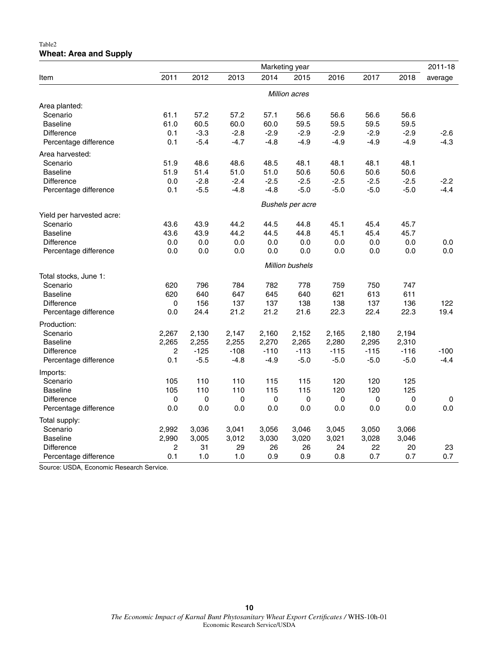#### Table2 **Wheat: Area and Supply**

|                           | Marketing year       |        |        |        |                         |        | 2011-18   |        |         |
|---------------------------|----------------------|--------|--------|--------|-------------------------|--------|-----------|--------|---------|
| Item                      | 2011                 | 2012   | 2013   | 2014   | 2015                    | 2016   | 2017      | 2018   | average |
|                           | <b>Million acres</b> |        |        |        |                         |        |           |        |         |
| Area planted:             |                      |        |        |        |                         |        |           |        |         |
| Scenario                  | 61.1                 | 57.2   | 57.2   | 57.1   | 56.6                    | 56.6   | 56.6      | 56.6   |         |
| <b>Baseline</b>           | 61.0                 | 60.5   | 60.0   | 60.0   | 59.5                    | 59.5   | 59.5      | 59.5   |         |
| <b>Difference</b>         | 0.1                  | $-3.3$ | $-2.8$ | $-2.9$ | $-2.9$                  | $-2.9$ | $-2.9$    | $-2.9$ | $-2.6$  |
| Percentage difference     | 0.1                  | $-5.4$ | $-4.7$ | $-4.8$ | $-4.9$                  | $-4.9$ | $-4.9$    | $-4.9$ | $-4.3$  |
| Area harvested:           |                      |        |        |        |                         |        |           |        |         |
| Scenario                  | 51.9                 | 48.6   | 48.6   | 48.5   | 48.1                    | 48.1   | 48.1      | 48.1   |         |
| <b>Baseline</b>           | 51.9                 | 51.4   | 51.0   | 51.0   | 50.6                    | 50.6   | 50.6      | 50.6   |         |
| Difference                | 0.0                  | $-2.8$ | $-2.4$ | $-2.5$ | $-2.5$                  | $-2.5$ | $-2.5$    | $-2.5$ | $-2.2$  |
| Percentage difference     | 0.1                  | $-5.5$ | $-4.8$ | $-4.8$ | $-5.0$                  | $-5.0$ | $-5.0$    | $-5.0$ | $-4.4$  |
|                           |                      |        |        |        | <b>Bushels per acre</b> |        |           |        |         |
| Yield per harvested acre: |                      |        |        |        |                         |        |           |        |         |
| Scenario                  | 43.6                 | 43.9   | 44.2   | 44.5   | 44.8                    | 45.1   | 45.4      | 45.7   |         |
| <b>Baseline</b>           | 43.6                 | 43.9   | 44.2   | 44.5   | 44.8                    | 45.1   | 45.4      | 45.7   |         |
| <b>Difference</b>         | 0.0                  | 0.0    | 0.0    | 0.0    | 0.0                     | 0.0    | 0.0       | 0.0    | 0.0     |
| Percentage difference     | 0.0                  | 0.0    | 0.0    | 0.0    | 0.0                     | 0.0    | 0.0       | 0.0    | 0.0     |
|                           |                      |        |        |        | <b>Million bushels</b>  |        |           |        |         |
| Total stocks, June 1:     |                      |        |        |        |                         |        |           |        |         |
| Scenario                  | 620                  | 796    | 784    | 782    | 778                     | 759    | 750       | 747    |         |
| <b>Baseline</b>           | 620                  | 640    | 647    | 645    | 640                     | 621    | 613       | 611    |         |
| Difference                | $\pmb{0}$            | 156    | 137    | 137    | 138                     | 138    | 137       | 136    | 122     |
| Percentage difference     | 0.0                  | 24.4   | 21.2   | 21.2   | 21.6                    | 22.3   | 22.4      | 22.3   | 19.4    |
| Production:               |                      |        |        |        |                         |        |           |        |         |
| Scenario                  | 2,267                | 2,130  | 2,147  | 2,160  | 2,152                   | 2,165  | 2,180     | 2,194  |         |
| <b>Baseline</b>           | 2,265                | 2,255  | 2,255  | 2,270  | 2,265                   | 2,280  | 2,295     | 2,310  |         |
| <b>Difference</b>         | 2                    | $-125$ | $-108$ | $-110$ | $-113$                  | $-115$ | $-115$    | $-116$ | $-100$  |
| Percentage difference     | 0.1                  | $-5.5$ | $-4.8$ | $-4.9$ | $-5.0$                  | $-5.0$ | $-5.0$    | $-5.0$ | $-4.4$  |
| Imports:                  |                      |        |        |        |                         |        |           |        |         |
| Scenario                  | 105                  | 110    | 110    | 115    | 115                     | 120    | 120       | 125    |         |
| <b>Baseline</b>           | 105                  | 110    | 110    | 115    | 115                     | 120    | 120       | 125    |         |
| <b>Difference</b>         | 0                    | 0      | 0      | 0      | 0                       | 0      | $\pmb{0}$ | 0      | 0       |
| Percentage difference     | 0.0                  | 0.0    | 0.0    | 0.0    | 0.0                     | 0.0    | 0.0       | 0.0    | 0.0     |
| Total supply:             |                      |        |        |        |                         |        |           |        |         |
| Scenario                  | 2,992                | 3,036  | 3,041  | 3,056  | 3,046                   | 3,045  | 3,050     | 3,066  |         |
| <b>Baseline</b>           | 2,990                | 3,005  | 3,012  | 3,030  | 3,020                   | 3,021  | 3,028     | 3,046  |         |
| Difference                | 2                    | 31     | 29     | 26     | 26                      | 24     | 22        | 20     | 23      |
| Percentage difference     | 0.1                  | 1.0    | 1.0    | 0.9    | 0.9                     | 0.8    | 0.7       | 0.7    | 0.7     |

Source: USDA, Economic Research Service.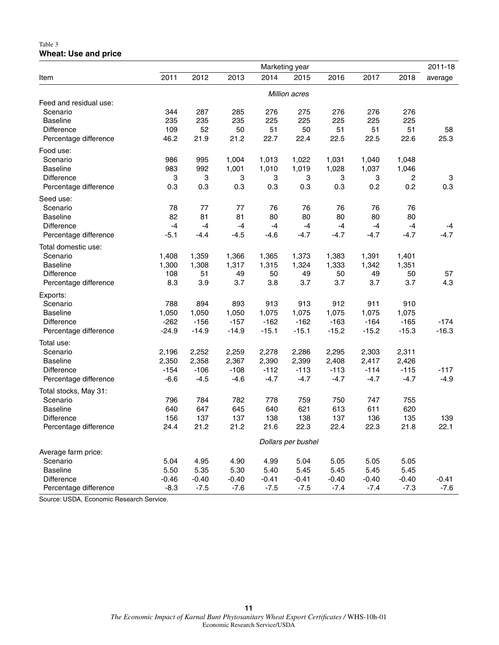#### Table 3 **Wheat: Use and price**

|                        | Marketing year     |               |         |         |         |         | 2011-18 |                |         |
|------------------------|--------------------|---------------|---------|---------|---------|---------|---------|----------------|---------|
| Item                   | 2011               | 2012          | 2013    | 2014    | 2015    | 2016    | 2017    | 2018           | average |
|                        |                    | Million acres |         |         |         |         |         |                |         |
| Feed and residual use: |                    |               |         |         |         |         |         |                |         |
| Scenario               | 344                | 287           | 285     | 276     | 275     | 276     | 276     | 276            |         |
| <b>Baseline</b>        | 235                | 235           | 235     | 225     | 225     | 225     | 225     | 225            |         |
| <b>Difference</b>      | 109                | 52            | 50      | 51      | 50      | 51      | 51      | 51             | 58      |
| Percentage difference  | 46.2               | 21.9          | 21.2    | 22.7    | 22.4    | 22.5    | 22.5    | 22.6           | 25.3    |
| Food use:              |                    |               |         |         |         |         |         |                |         |
| Scenario               | 986                | 995           | 1,004   | 1,013   | 1,022   | 1,031   | 1,040   | 1,048          |         |
| <b>Baseline</b>        | 983                | 992           | 1,001   | 1,010   | 1,019   | 1,028   | 1,037   | 1,046          |         |
| <b>Difference</b>      | 3                  | 3             | 3       | 3       | 3       | 3       | 3       | $\overline{c}$ | 3       |
| Percentage difference  | 0.3                | 0.3           | 0.3     | 0.3     | 0.3     | 0.3     | 0.2     | 0.2            | 0.3     |
| Seed use:              |                    |               |         |         |         |         |         |                |         |
| Scenario               | 78                 | 77            | 77      | 76      | 76      | 76      | 76      | 76             |         |
| <b>Baseline</b>        | 82                 | 81            | 81      | 80      | 80      | 80      | 80      | 80             |         |
| <b>Difference</b>      | $-4$               | $-4$          | $-4$    | $-4$    | $-4$    | $-4$    | $-4$    | $-4$           | $-4$    |
| Percentage difference  | $-5.1$             | $-4.4$        | $-4.5$  | $-4.6$  | $-4.7$  | $-4.7$  | $-4.7$  | $-4.7$         | $-4.7$  |
| Total domestic use:    |                    |               |         |         |         |         |         |                |         |
| Scenario               | 1,408              | 1,359         | 1,366   | 1,365   | 1,373   | 1,383   | 1,391   | 1,401          |         |
| <b>Baseline</b>        | 1,300              | 1,308         | 1,317   | 1,315   | 1,324   | 1,333   | 1,342   | 1,351          |         |
| <b>Difference</b>      | 108                | 51            | 49      | 50      | 49      | 50      | 49      | 50             | 57      |
| Percentage difference  | 8.3                | 3.9           | 3.7     | 3.8     | 3.7     | 3.7     | 3.7     | 3.7            | 4.3     |
| Exports:               |                    |               |         |         |         |         |         |                |         |
| Scenario               | 788                | 894           | 893     | 913     | 913     | 912     | 911     | 910            |         |
| <b>Baseline</b>        | 1,050              | 1,050         | 1,050   | 1,075   | 1,075   | 1,075   | 1,075   | 1,075          |         |
| Difference             | $-262$             | $-156$        | $-157$  | $-162$  | $-162$  | $-163$  | $-164$  | $-165$         | $-174$  |
| Percentage difference  | $-24.9$            | $-14.9$       | $-14.9$ | $-15.1$ | $-15.1$ | $-15.2$ | $-15.2$ | $-15.3$        | $-16.3$ |
| Total use:             |                    |               |         |         |         |         |         |                |         |
| Scenario               | 2,196              | 2,252         | 2,259   | 2,278   | 2,286   | 2,295   | 2,303   | 2,311          |         |
| <b>Baseline</b>        | 2,350              | 2,358         | 2,367   | 2,390   | 2,399   | 2,408   | 2,417   | 2,426          |         |
| <b>Difference</b>      | $-154$             | $-106$        | $-108$  | $-112$  | $-113$  | $-113$  | $-114$  | $-115$         | $-117$  |
| Percentage difference  | $-6.6$             | $-4.5$        | $-4.6$  | $-4.7$  | $-4.7$  | $-4.7$  | $-4.7$  | $-4.7$         | $-4.9$  |
| Total stocks, May 31:  |                    |               |         |         |         |         |         |                |         |
| Scenario               | 796                | 784           | 782     | 778     | 759     | 750     | 747     | 755            |         |
| <b>Baseline</b>        | 640                | 647           | 645     | 640     | 621     | 613     | 611     | 620            |         |
| Difference             | 156                | 137           | 137     | 138     | 138     | 137     | 136     | 135            | 139     |
| Percentage difference  | 24.4               | 21.2          | 21.2    | 21.6    | 22.3    | 22.4    | 22.3    | 21.8           | 22.1    |
|                        | Dollars per bushel |               |         |         |         |         |         |                |         |
| Average farm price:    |                    |               |         |         |         |         |         |                |         |
| Scenario               | 5.04               | 4.95          | 4.90    | 4.99    | 5.04    | 5.05    | 5.05    | 5.05           |         |
| <b>Baseline</b>        | 5.50               | 5.35          | 5.30    | 5.40    | 5.45    | 5.45    | 5.45    | 5.45           |         |
| <b>Difference</b>      | $-0.46$            | $-0.40$       | $-0.40$ | $-0.41$ | $-0.41$ | $-0.40$ | $-0.40$ | $-0.40$        | $-0.41$ |
| Percentage difference  | $-8.3$             | $-7.5$        | $-7.6$  | $-7.5$  | $-7.5$  | $-7.4$  | $-7.4$  | $-7.3$         | $-7.6$  |

Source: USDA, Economic Research Service.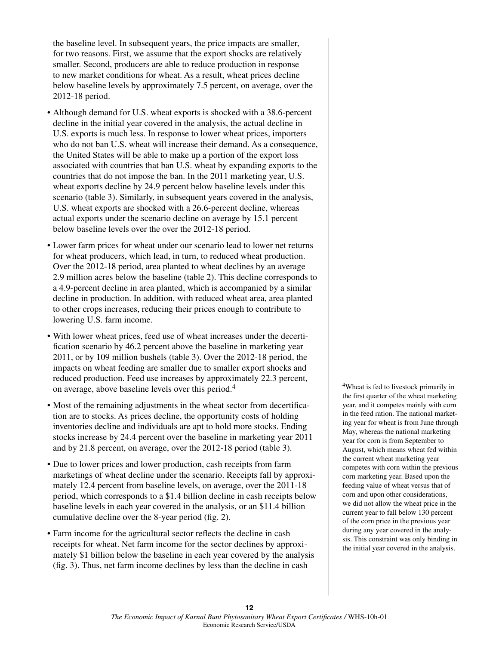the baseline level. In subsequent years, the price impacts are smaller, for two reasons. First, we assume that the export shocks are relatively smaller. Second, producers are able to reduce production in response to new market conditions for wheat. As a result, wheat prices decline below baseline levels by approximately 7.5 percent, on average, over the 2012-18 period.

- Although demand for U.S. wheat exports is shocked with a 38.6-percent decline in the initial year covered in the analysis, the actual decline in U.S. exports is much less. In response to lower wheat prices, importers who do not ban U.S. wheat will increase their demand. As a consequence, the United States will be able to make up a portion of the export loss associated with countries that ban U.S. wheat by expanding exports to the countries that do not impose the ban. In the 2011 marketing year, U.S. wheat exports decline by 24.9 percent below baseline levels under this scenario (table 3). Similarly, in subsequent years covered in the analysis, U.S. wheat exports are shocked with a 26.6-percent decline, whereas actual exports under the scenario decline on average by 15.1 percent below baseline levels over the over the 2012-18 period.
- • Lower farm prices for wheat under our scenario lead to lower net returns for wheat producers, which lead, in turn, to reduced wheat production. Over the 2012-18 period, area planted to wheat declines by an average 2.9 million acres below the baseline (table 2). This decline corresponds to a 4.9-percent decline in area planted, which is accompanied by a similar decline in production. In addition, with reduced wheat area, area planted to other crops increases, reducing their prices enough to contribute to lowering U.S. farm income.
- • With lower wheat prices, feed use of wheat increases under the decertification scenario by 46.2 percent above the baseline in marketing year 2011, or by 109 million bushels (table 3). Over the 2012-18 period, the impacts on wheat feeding are smaller due to smaller export shocks and reduced production. Feed use increases by approximately 22.3 percent, on average, above baseline levels over this period.4
- Most of the remaining adjustments in the wheat sector from decertification are to stocks. As prices decline, the opportunity costs of holding inventories decline and individuals are apt to hold more stocks. Ending stocks increase by 24.4 percent over the baseline in marketing year 2011 and by 21.8 percent, on average, over the 2012-18 period (table 3).
- Due to lower prices and lower production, cash receipts from farm marketings of wheat decline under the scenario. Receipts fall by approximately 12.4 percent from baseline levels, on average, over the 2011-18 period, which corresponds to a \$1.4 billion decline in cash receipts below baseline levels in each year covered in the analysis, or an \$11.4 billion cumulative decline over the 8-year period (fig. 2).
- Farm income for the agricultural sector reflects the decline in cash receipts for wheat. Net farm income for the sector declines by approximately \$1 billion below the baseline in each year covered by the analysis (fig. 3). Thus, net farm income declines by less than the decline in cash

4Wheat is fed to livestock primarily in the first quarter of the wheat marketing year, and it competes mainly with corn in the feed ration. The national marketing year for wheat is from June through May, whereas the national marketing year for corn is from September to August, which means wheat fed within the current wheat marketing year competes with corn within the previous corn marketing year. Based upon the feeding value of wheat versus that of corn and upon other considerations, we did not allow the wheat price in the current year to fall below 130 percent of the corn price in the previous year during any year covered in the analysis. This constraint was only binding in the initial year covered in the analysis.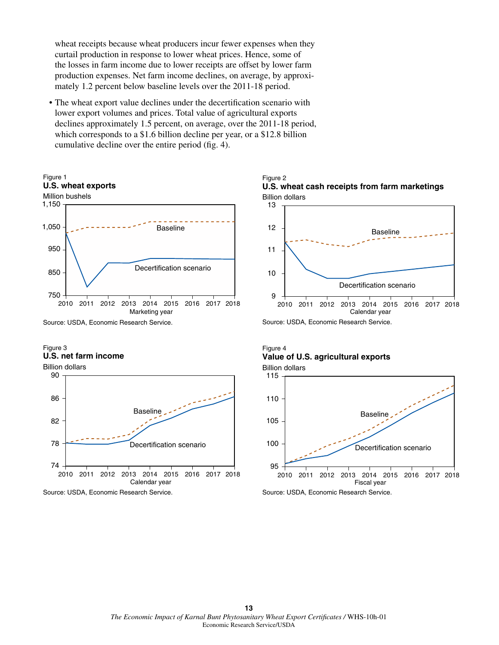wheat receipts because wheat producers incur fewer expenses when they curtail production in response to lower wheat prices. Hence, some of the losses in farm income due to lower receipts are offset by lower farm production expenses. Net farm income declines, on average, by approximately 1.2 percent below baseline levels over the 2011-18 period.

• The wheat export value declines under the decertification scenario with lower export volumes and prices. Total value of agricultural exports declines approximately 1.5 percent, on average, over the 2011-18 period, which corresponds to a \$1.6 billion decline per year, or a \$12.8 billion cumulative decline over the entire period (fig. 4).



#### Figure 3 **U.S. net farm income**

Calendar year 2010 2011 2012 2013 2014 2015 2016 2017 2018 Baseline Decertification scenario 74 78 82 86 90 Billion dollars

Source: USDA, Economic Research Service.

#### Billion dollars Figure 2 **U.S. wheat cash receipts from farm marketings**



Source: USDA, Economic Research Service.

#### Figure 4 **Value of U.S. agricultural exports** Billion dollars



Source: USDA, Economic Research Service.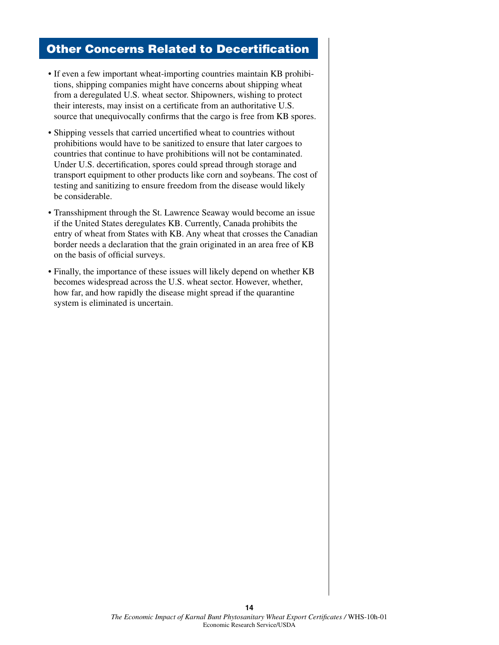### Other Concerns Related to Decertification

- If even a few important wheat-importing countries maintain KB prohibitions, shipping companies might have concerns about shipping wheat from a deregulated U.S. wheat sector. Shipowners, wishing to protect their interests, may insist on a certificate from an authoritative U.S. source that unequivocally confirms that the cargo is free from KB spores.
- Shipping vessels that carried uncertified wheat to countries without prohibitions would have to be sanitized to ensure that later cargoes to countries that continue to have prohibitions will not be contaminated. Under U.S. decertification, spores could spread through storage and transport equipment to other products like corn and soybeans. The cost of testing and sanitizing to ensure freedom from the disease would likely be considerable.
- Transshipment through the St. Lawrence Seaway would become an issue if the United States deregulates KB. Currently, Canada prohibits the entry of wheat from States with KB. Any wheat that crosses the Canadian border needs a declaration that the grain originated in an area free of KB on the basis of official surveys.
- Finally, the importance of these issues will likely depend on whether KB becomes widespread across the U.S. wheat sector. However, whether, how far, and how rapidly the disease might spread if the quarantine system is eliminated is uncertain.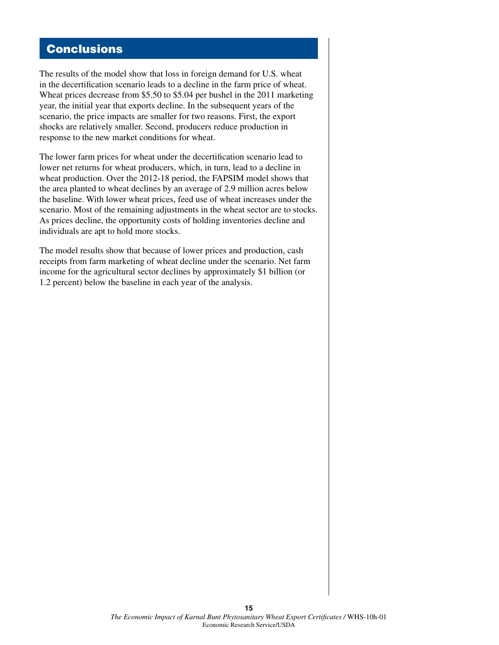### **Conclusions**

The results of the model show that loss in foreign demand for U.S. wheat in the decertification scenario leads to a decline in the farm price of wheat. Wheat prices decrease from \$5.50 to \$5.04 per bushel in the 2011 marketing year, the initial year that exports decline. In the subsequent years of the scenario, the price impacts are smaller for two reasons. First, the export shocks are relatively smaller. Second, producers reduce production in response to the new market conditions for wheat.

The lower farm prices for wheat under the decertification scenario lead to lower net returns for wheat producers, which, in turn, lead to a decline in wheat production. Over the 2012-18 period, the FAPSIM model shows that the area planted to wheat declines by an average of 2.9 million acres below the baseline. With lower wheat prices, feed use of wheat increases under the scenario. Most of the remaining adjustments in the wheat sector are to stocks. As prices decline, the opportunity costs of holding inventories decline and individuals are apt to hold more stocks.

The model results show that because of lower prices and production, cash receipts from farm marketing of wheat decline under the scenario. Net farm income for the agricultural sector declines by approximately \$1 billion (or 1.2 percent) below the baseline in each year of the analysis.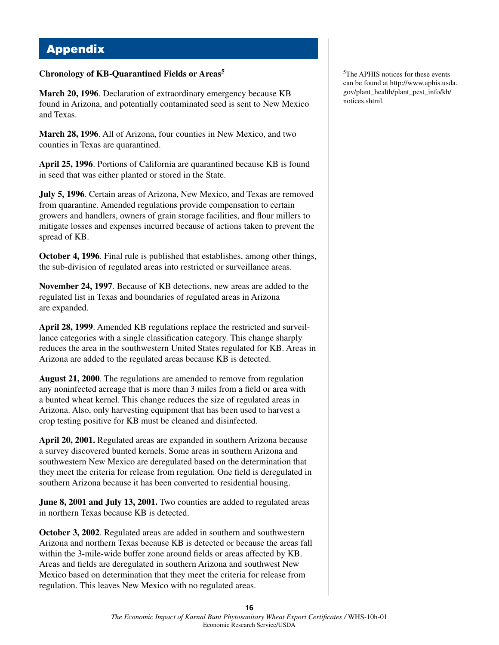# Appendix

#### **Chronology of KB-Quarantined Fields or Areas5**

**March 20, 1996**. Declaration of extraordinary emergency because KB found in Arizona, and potentially contaminated seed is sent to New Mexico and Texas.

**March 28, 1996**. All of Arizona, four counties in New Mexico, and two counties in Texas are quarantined.

**April 25, 1996**. Portions of California are quarantined because KB is found in seed that was either planted or stored in the State.

**July 5, 1996**. Certain areas of Arizona, New Mexico, and Texas are removed from quarantine. Amended regulations provide compensation to certain growers and handlers, owners of grain storage facilities, and flour millers to mitigate losses and expenses incurred because of actions taken to prevent the spread of KB.

**October 4, 1996**. Final rule is published that establishes, among other things, the sub-division of regulated areas into restricted or surveillance areas.

**November 24, 1997**. Because of KB detections, new areas are added to the regulated list in Texas and boundaries of regulated areas in Arizona are expanded.

**April 28, 1999**. Amended KB regulations replace the restricted and surveillance categories with a single classification category. This change sharply reduces the area in the southwestern United States regulated for KB. Areas in Arizona are added to the regulated areas because KB is detected.

**August 21, 2000**. The regulations are amended to remove from regulation any noninfected acreage that is more than 3 miles from a field or area with a bunted wheat kernel. This change reduces the size of regulated areas in Arizona. Also, only harvesting equipment that has been used to harvest a crop testing positive for KB must be cleaned and disinfected.

**April 20, 2001.** Regulated areas are expanded in southern Arizona because a survey discovered bunted kernels. Some areas in southern Arizona and southwestern New Mexico are deregulated based on the determination that they meet the criteria for release from regulation. One field is deregulated in southern Arizona because it has been converted to residential housing.

**June 8, 2001 and July 13, 2001.** Two counties are added to regulated areas in northern Texas because KB is detected.

**October 3, 2002**. Regulated areas are added in southern and southwestern Arizona and northern Texas because KB is detected or because the areas fall within the 3-mile-wide buffer zone around fields or areas affected by KB. Areas and fields are deregulated in southern Arizona and southwest New Mexico based on determination that they meet the criteria for release from regulation. This leaves New Mexico with no regulated areas.

5The APHIS notices for these events can be found at http://www.aphis.usda. gov/plant\_health/plant\_pest\_info/kb/ notices.shtml.